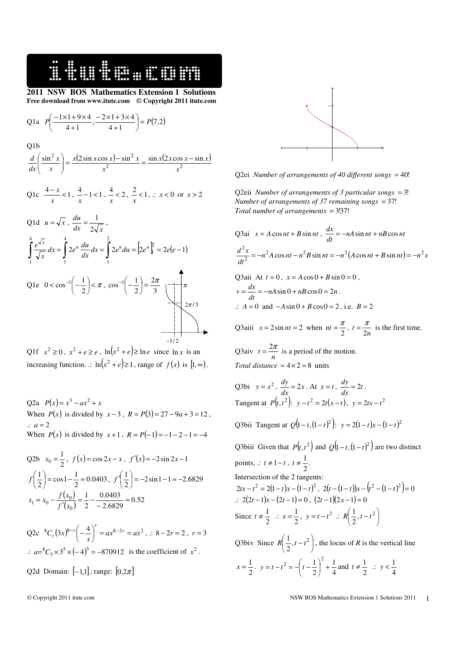## **2011 NSW BOS Mathematics Extension 1 Solutions Free download from www.itute.com © Copyright 2011 itute.com**

Q1a 
$$
P\left(\frac{-1\times1+9\times4}{4+1}, \frac{-2\times1+3\times4}{4+1}\right) = P(7,2)
$$

**###** 

Q1b

$$
\frac{d}{dx}\left(\frac{\sin^2 x}{x}\right) = \frac{x(2\sin x \cos x) - \sin^2 x}{x^2} = \frac{\sin x(2x \cos x - \sin x)}{x^2}
$$

Q1c 
$$
\frac{4-x}{x}
$$
 < 1,  $\frac{4}{x}$  -1 < 1,  $\frac{4}{x}$  < 2,  $\frac{2}{x}$  < 1,  $\therefore$  x < 0 or x > 2

Q1d 
$$
u = \sqrt{x}
$$
,  $\frac{du}{dx} = \frac{1}{2\sqrt{x}}$ ,  
\n
$$
\int_{1}^{4} \frac{e^{\sqrt{x}}}{\sqrt{x}} dx = \int_{1}^{4} 2e^{u} \frac{du}{dx} dx = \int_{1}^{2} 2e^{u} du = [2e^{u}]_{1}^{2} = 2e(e-1)
$$
\nQ1e  $0 < \cos^{-1}\left(-\frac{1}{2}\right) < \pi$ ,  $\cos^{-1}\left(-\frac{1}{2}\right) = \frac{2\pi}{3} \quad \begin{cases} -\frac{1}{2} \\ -\frac{1}{2} \end{cases}$ 

l



 $\sum_{1}$   $2\pi/3$ 

3

J

l

Q2a  $P(x) = x^3 - ax^2 + x$ When  $P(x)$  is divided by  $x - 3$ ,  $R = P(3) = 27 - 9a + 3 = 12$ ,  $\therefore a = 2$ When  $P(x)$  is divided by  $x+1$ ,  $R = P(-1) = -1-2-1 = -4$ 

Q2b 
$$
x_0 = \frac{1}{2}
$$
,  $f(x) = \cos 2x - x$ ,  $f'(x) = -2\sin 2x - 1$   
\n $f\left(\frac{1}{2}\right) = \cos 1 - \frac{1}{2} \approx 0.0403$ ,  $f'\left(\frac{1}{2}\right) = -2\sin 1 - 1 \approx -2.6829$   
\n $x_1 \approx x_0 - \frac{f(x_0)}{f'(x_0)} = \frac{1}{2} - \frac{0.0403}{-2.6829} \approx 0.52$ 

Q2c  ${}^{8}C_{r}(3x)^{8-r}\left(-\frac{4}{x}\right)^{r} = ax^{8-2r} = ax^{2}$  $\begin{pmatrix} -4 \\ -1 \end{pmatrix}$ ∖  $\left[-\frac{4}{\cdot}\right]^{r} = ax^{8-2r} = ax^2$ ,  $\therefore$  8 - 2*r* = 2, *r* = 3  $\therefore a = {^8C_3} \times 3^5 \times (-4)^3 = -870912$  is the coefficient of  $x^2$ .

Q2d Domain:  $[-1,1]$ ; range:  $[0,2\pi]$ 



Q2ei *Number of arrangements of 40 different songs* = 40!

Q2eii *Number of arrangements of 3 particular songs = 3! Number of arrangements of 37 remaining songs* = 37! *Total number of arrangements = 3!37!* 

Q3ai 
$$
x = A \cos nt + B \sin nt
$$
,  $\frac{dx}{dt} = -nA \sin nt + nB \cos nt$   
\n
$$
\frac{d^2x}{dt^2} = -n^2 A \cos nt - n^2 B \sin nt = -n^2 (A \cos nt + B \sin nt) = -n^2 x
$$
\nQ3ai*i* At  $t = 0$ ,  $x = A \cos 0 + B \sin 0 = 0$ ,  
\n $v = \frac{dx}{dt} = -nA \sin 0 + nB \cos 0 = 2n$ .  
\n $\therefore A = 0$  and  $-A \sin 0 + B \cos 0 = 2$ , i.e.  $B = 2$   
\nQ3ai*ii*  $x = 2 \sin nt = 2$  when  $nt = \frac{\pi}{2}$ ,  $t = \frac{\pi}{2n}$  is the first time.

*n* 2

Q3aiv  $t = \frac{2\pi}{n}$  is a period of the motion. *Total distance* =  $4 \times 2 = 8$  units

2

Q3bi 
$$
y = x^2
$$
,  $\frac{dy}{dx} = 2x$ . At  $x = t$ ,  $\frac{dy}{dx} = 2t$ .  
Tangent at  $P(t, t^2)$ :  $y - t^2 = 2t(x - t)$ ,  $y = 2tx - t^2$ 

Q3bii Tangent at 
$$
Q(1-t,(1-t)^2)
$$
:  $y = 2(1-t)x-(1-t)^2$ 

Q3biii Given that  $P(t, t^2)$  and  $Q(1-t, (1-t)^2)$  are two distinct points,  $\therefore$  *t* ≠ 1−*t*, *t* ≠  $\frac{1}{2}$  $t \neq \frac{1}{2}$ . Intersection of the 2 tangents:  $2tx - t^2 = 2(1-t)x - (1-t)^2$ ,  $2(t - (1-t))x - (t^2 - (1-t)^2) = 0$ .:  $2(2t-1)x-(2t-1)=0$ ,  $(2t-1)(2x-1)=0$ Since  $t \neq \frac{1}{2}$  $t \neq \frac{1}{2}$  :  $x = \frac{1}{2}$  $x = \frac{1}{2}, y = t - t^2 \therefore R\left(\frac{1}{2}, t - t^2\right)$  $\left(\frac{1}{t}, t-t^2\right)$ ∖  $\left(\frac{1}{2}, t - t^2\right)$  $R\left(\frac{1}{2},t-t\right)$ Q3biv Since  $R\left(\frac{1}{2}, t-t^2\right)$  $\left(\frac{1}{2}, t-t^2\right)$ l  $\left(\frac{1}{2}, t - t^2\right)$  $R\left(\frac{1}{2}, t - t^2\right)$ , the locus of *R* is the vertical line  $x = \frac{1}{2}$ ,  $y = t - t^2 = -\left(t - \frac{1}{2}\right)^2 + \frac{1}{4}$ 1  $2 = -\left(t - \frac{1}{2}\right)^2 +$  $\left(t-\frac{1}{t}\right)$  $y = t - t^2 = -\left(t - \frac{1}{2}\right)^2 + \frac{1}{4}$  and  $t \neq \frac{1}{2}$  $t \neq \frac{1}{2}$  :  $y < \frac{1}{4}$  $y < \frac{1}{4}$ 

2

l

J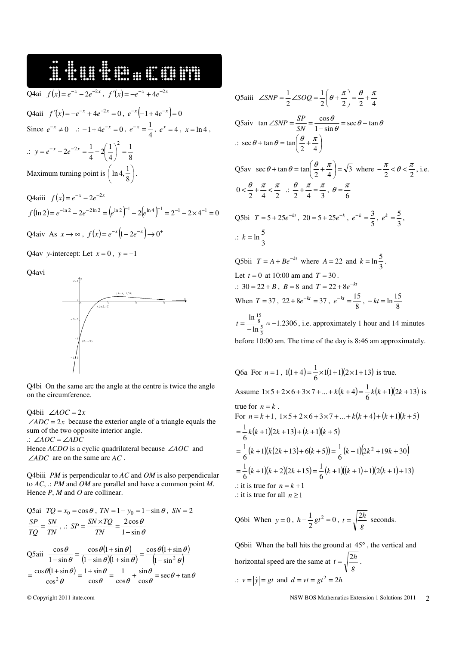16. SI SHE SHE SHE Q4ai  $f(x) = e^{-x} - 2e^{-2x}$ ,  $f'(x) = -e^{-x} + 4e^{-2x}$ Q4aii  $f'(x) = -e^{-x} + 4e^{-2x} = 0$ ,  $e^{-x}(-1 + 4e^{-x}) = 0$  $e^{-x} = \frac{1}{4}, e^{x} = 4, x = \ln 4,$ Since  $e^{-x} \neq 0$  :  $-1+4e^{-x} = 0$ ,  $e^{-x} = \frac{1}{4}$  $2x = \frac{1}{2} - 2\left(\frac{1}{2}\right)^2 =$  $y = e^{-x} - 2e^{-2x} = \frac{1}{x} - 2\left($  $\left(\frac{1}{\cdot}\right)$  $2e^{-2x} = \frac{1}{4}$  $rac{1}{4} - 2\left(\frac{1}{4}\right)$ 1  $\therefore y = e^{-x} - 2e^{-2x} = \frac{1}{4} - 2\left(\frac{1}{4}\right) = \frac{1}{8}$ l 4 J  $\ln 4, \frac{1}{2}$ ſ  $\ln 4, \frac{1}{6}$ . Maximum turning point is  $\left(\ln 4, \frac{1}{8}\right)$ l 8

Q4aiii  $f(x) = e^{-x} - 2e^{-2x}$  $f(\ln 2) = e^{-\ln 2} - 2e^{-2\ln 2} = (e^{\ln 2})^{-1} - 2(e^{\ln 4})^{-1} = 2^{-1} - 2 \times 4^{-1} = 0$ 

 $Q4$ aiv As  $x \to \infty$ ,  $f(x) = e^{-x} (1 - 2e^{-x}) \to 0^+$ 

Q4av *y*-intercept: Let  $x = 0$ ,  $y = -1$ 

Q4avi



Q4bi On the same arc the angle at the centre is twice the angle on the circumference.

Q4bii ∠*AOC* = 2*x*

 $\angle ADC = 2x$  because the exterior angle of a triangle equals the sum of the two opposite interior angle.

.: ∠*AOC* = ∠*ADC*

Hence *ACDO* is a cyclic quadrilateral because ∠*AOC* and ∠*ADC* are on the same arc *AC* .

Q4biii *PM* is perpendicular to *AC* and *OM* is also perpendicular to *AC*, .: *PM* and *OM* are parallel and have a common point *M*. Hence *P*, *M* and *O* are collinear.

Q5ai 
$$
TQ = x_0 = \cos \theta
$$
,  $TN = 1 - y_0 = 1 - \sin \theta$ ,  $SN = 2$   
\n
$$
\frac{SP}{TQ} = \frac{SN}{TN}, \therefore SP = \frac{SN \times TQ}{TN} = \frac{2 \cos \theta}{1 - \sin \theta}
$$
\nQ5aii 
$$
\frac{\cos \theta}{1 - \sin \theta} = \frac{\cos \theta (1 + \sin \theta)}{(1 - \sin \theta)(1 + \sin \theta)} = \frac{\cos \theta (1 + \sin \theta)}{(1 - \sin^2 \theta)}
$$
\n
$$
= \frac{\cos \theta (1 + \sin \theta)}{\cos^2 \theta} = \frac{1 + \sin \theta}{\cos \theta} = \frac{1}{\cos \theta} + \frac{\sin \theta}{\cos \theta} = \sec \theta + \tan \theta
$$

Q5aiii 
$$
\angle SNP = \frac{1}{2}\angle SOQ = \frac{1}{2}\left(\theta + \frac{\pi}{2}\right) = \frac{\theta}{2} + \frac{\pi}{4}
$$
  
\nQ5aiiv  $\tan \angle SNP = \frac{SP}{SN} = \frac{\cos \theta}{1 - \sin \theta} = \sec \theta + \tan \theta$   
\n $\therefore \sec \theta + \tan \theta = \tan\left(\frac{\theta}{2} + \frac{\pi}{4}\right)$   
\nQ5av  $\sec \theta + \tan \theta = \tan\left(\frac{\theta}{2} + \frac{\pi}{4}\right) = \sqrt{3}$  where  $-\frac{\pi}{2} < \theta < \frac{\pi}{2}$ , i.e.  
\n $0 < \frac{\theta}{2} + \frac{\pi}{4} < \frac{\pi}{2} \therefore \frac{\theta}{2} + \frac{\pi}{4} = \frac{\pi}{3}, \theta = \frac{\pi}{6}$   
\nQ5bi  $T = 5 + 25e^{-kt}$ ,  $20 = 5 + 25e^{-k}$ ,  $e^{-k} = \frac{3}{5}$ ,  $e^{k} = \frac{5}{3}$ ,  
\n $\therefore k = \ln \frac{5}{3}$   
\nQ5bi  $T = A + Be^{-kt}$  where  $A = 22$  and  $k = \ln \frac{5}{3}$ .  
\nLet  $t = 0$  at 10:00 am and  $T = 30$ .  
\n $\therefore 30 = 22 + B$ ,  $B = 8$  and  $T = 22 + 8e^{-kt}$   
\nWhen  $T = 37$ ,  $22 + 8e^{-kt} = 37$ ,  $e^{-kt} = \frac{15}{8}$ ,  $-kt = \ln \frac{15}{8}$   
\n $t = \frac{\ln \frac{15}{8}}{-\ln \frac{5}{3}} \approx -1.2306$ , i.e. approximately 1 hour and 14 minutes  
\nbefore 10:00 am. The time of the day is 8:46 am approximately.

Q6a For  $n = 1$ ,  $1(1+4) = \frac{1}{6} \times 1(1+1)(2 \times 1+13)$  $1(1+4) = \frac{1}{2} \times 1(1+1)(2\times1+13)$  is true. Assume  $1 \times 5 + 2 \times 6 + 3 \times 7 + ... + k(k+4) = \frac{1}{6}k(k+1)(2k+13)$  $1 \times 5 + 2 \times 6 + 3 \times 7 + ... + k(k+4) = \frac{1}{6}k(k+1)(2k+13)$  is true for  $n = k$ . For  $n = k + 1$ ,  $1 \times 5 + 2 \times 6 + 3 \times 7 + ... + k(k + 4) + (k + 1)(k + 5)$  $\frac{1}{6}k(k+1)(2k+13)+(k+1)(k+5)$  $=\frac{1}{k}(k+1)(2k+13)+(k+1)(k+1)$  $(k+1)(k(2k+13)+6(k+5)) = \frac{1}{6}(k+1)(2k^2+19k+30)$  $\frac{1}{6}(k+1)(k(2k+13)+6(k+5))=\frac{1}{6}$  $=\frac{1}{2}(k+1)(k(2k+13)+6(k+5))=\frac{1}{2}(k+1)(2k^2+19k+$  $(k+1)(k+2)(2k+15) = \frac{1}{6}(k+1)((k+1)+1)(2(k+1)+13)$  $\frac{1}{6}(k+1)(k+2)(2k+15) = \frac{1}{6}$  $=\frac{1}{2}(k+1)(k+2)(2k+15)=\frac{1}{2}(k+1)((k+1)+1)(2(k+1)+1)$  $\therefore$  it is true for  $n = k + 1$ .: it is true for all *n* ≥1

Q6bi When  $y = 0$ ,  $h - \frac{1}{2}gt^2 = 0$  $h - \frac{1}{2}gt^2 = 0$ ,  $t = \sqrt{\frac{2h}{g}}$  $t = \sqrt{\frac{2h}{m}}$  seconds.

Q6bii When the ball hits the ground at 45° , the vertical and horizontal speed are the same at  $t = \sqrt{\frac{2t}{g}}$  $t = \sqrt{\frac{2h}{m}}$ . .:  $v = |\dot{y}| = gt$  and  $d = vt = gt^2 = 2h$